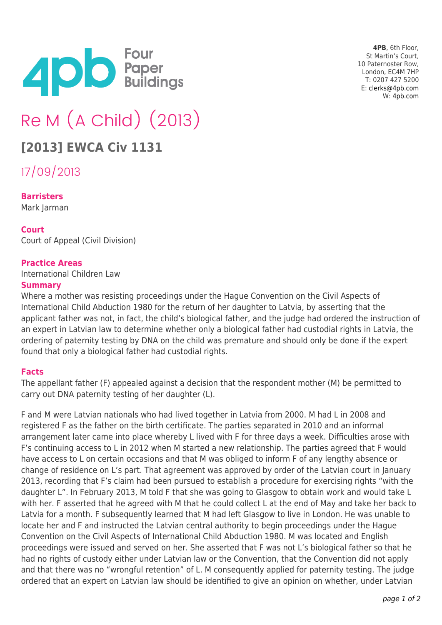

**4PB**, 6th Floor, St Martin's Court, 10 Paternoster Row, London, EC4M 7HP T: 0207 427 5200 E: [clerks@4pb.com](mailto:clerks@4pb.com) W: [4pb.com](http://4pb.com)

# Re M (A Child) (2013)

# **[2013] EWCA Civ 1131**

17/09/2013

**Barristers**

Mark Jarman

## **Court**

Court of Appeal (Civil Division)

#### **Practice Areas**

International Children Law

#### **Summary**

Where a mother was resisting proceedings under the Hague Convention on the Civil Aspects of International Child Abduction 1980 for the return of her daughter to Latvia, by asserting that the applicant father was not, in fact, the child's biological father, and the judge had ordered the instruction of an expert in Latvian law to determine whether only a biological father had custodial rights in Latvia, the ordering of paternity testing by DNA on the child was premature and should only be done if the expert found that only a biological father had custodial rights.

#### **Facts**

The appellant father (F) appealed against a decision that the respondent mother (M) be permitted to carry out DNA paternity testing of her daughter (L).

F and M were Latvian nationals who had lived together in Latvia from 2000. M had L in 2008 and registered F as the father on the birth certificate. The parties separated in 2010 and an informal arrangement later came into place whereby L lived with F for three days a week. Difficulties arose with F's continuing access to L in 2012 when M started a new relationship. The parties agreed that F would have access to L on certain occasions and that M was obliged to inform F of any lengthy absence or change of residence on L's part. That agreement was approved by order of the Latvian court in January 2013, recording that F's claim had been pursued to establish a procedure for exercising rights "with the daughter L". In February 2013, M told F that she was going to Glasgow to obtain work and would take L with her. F asserted that he agreed with M that he could collect L at the end of May and take her back to Latvia for a month. F subsequently learned that M had left Glasgow to live in London. He was unable to locate her and F and instructed the Latvian central authority to begin proceedings under the Hague Convention on the Civil Aspects of International Child Abduction 1980. M was located and English proceedings were issued and served on her. She asserted that F was not L's biological father so that he had no rights of custody either under Latvian law or the Convention, that the Convention did not apply and that there was no "wrongful retention" of L. M consequently applied for paternity testing. The judge ordered that an expert on Latvian law should be identified to give an opinion on whether, under Latvian